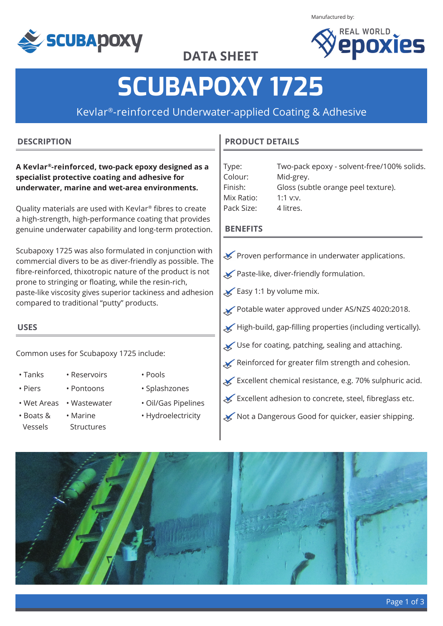

Manufactured by:



**DATA SHEET**

# **SCUBAPOXY 1725**

Kevlar®-reinforced Underwater-applied Coating & Adhesive

#### **DESCRIPTION**

**A Kevlar®-reinforced, two-pack epoxy designed as a specialist protective coating and adhesive for underwater, marine and wet-area environments.** 

Quality materials are used with Kevlar® fibres to create a high-strength, high-performance coating that provides genuine underwater capability and long-term protection.

Scubapoxy 1725 was also formulated in conjunction with commercial divers to be as diver-friendly as possible. The fibre-reinforced, thixotropic nature of the product is not prone to stringing or floating, while the resin-rich, paste-like viscosity gives superior tackiness and adhesion compared to traditional "putty" products.

## **USES**

Common uses for Scubapoxy 1725 include:

- 
- Tanks Reservoirs Pools
- 
- 
- 
- Boats & Vessels • Marine Structures
- 
- Piers Pontoons Splashzones
- Wet Areas Wastewater Oil/Gas Pipelines
	- Hydroelectricity

#### **PRODUCT DETAILS**

| Two-pack epoxy - solvent-free/100% solids. |
|--------------------------------------------|
| Mid-grey.                                  |
| Gloss (subtle orange peel texture).        |
| 1:1 $V:V.$                                 |
| 4 litres.                                  |
|                                            |

#### **BENEFITS**

- Proven performance in underwater applications.
- Paste-like, diver-friendly formulation.
- $\blacktriangleright$  Easy 1:1 by volume mix.
- Potable water approved under AS/NZS 4020:2018.
- High-build, gap-filling properties (including vertically).
- Use for coating, patching, sealing and attaching.
- Reinforced for greater film strength and cohesion.
- $\star$  Excellent chemical resistance, e.g. 70% sulphuric acid.
- Excellent adhesion to concrete, steel, fibreglass etc.
- Not a Dangerous Good for quicker, easier shipping.

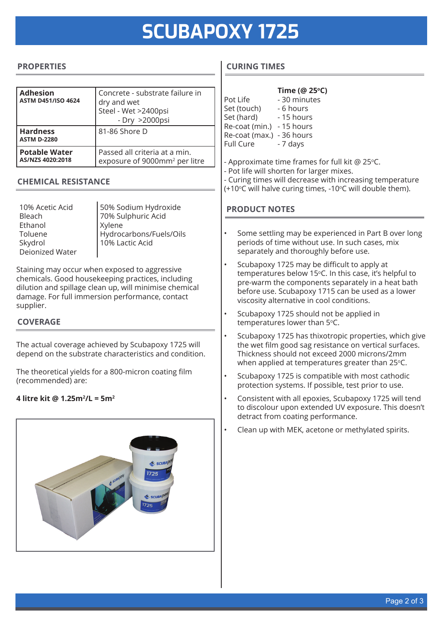# **SCUBAPOXY 1725**

#### **PROPERTIES**

| <b>Adhesion</b><br><b>ASTM D451/ISO 4624</b> | Concrete - substrate failure in<br>dry and wet<br>Steel - Wet >2400psi<br>- Dry >2000psi |
|----------------------------------------------|------------------------------------------------------------------------------------------|
| <b>Hardness</b><br><b>ASTM D-2280</b>        | 81-86 Shore D                                                                            |
| <b>Potable Water</b><br>AS/NZS 4020:2018     | Passed all criteria at a min.<br>exposure of 9000mm <sup>2</sup> per litre               |

#### **CHEMICAL RESISTANCE**

10% Acetic Acid Bleach Ethanol Toluene Skydrol Deionized Water

50% Sodium Hydroxide 70% Sulphuric Acid Xylene Hydrocarbons/Fuels/Oils 10% Lactic Acid

Staining may occur when exposed to aggressive chemicals. Good housekeeping practices, including dilution and spillage clean up, will minimise chemical damage. For full immersion performance, contact supplier.

#### **COVERAGE**

The actual coverage achieved by Scubapoxy 1725 will depend on the substrate characteristics and condition.

The theoretical yields for a 800-micron coating film (recommended) are:

#### **4 litre kit @ 1.25m2 /L = 5m2**



### **CURING TIMES**

|                  | Time (@ 25°C) |
|------------------|---------------|
| Pot Life         | - 30 minutes  |
| Set (touch)      | - 6 hours     |
| Set (hard)       | - 15 hours    |
| Re-coat (min.)   | - 15 hours    |
| Re-coat (max.)   | - 36 hours    |
| <b>Full Cure</b> | - 7 days      |
|                  |               |

- Approximate time frames for full kit  $@$  25 $°C$ .
- Pot life will shorten for larger mixes.
- Curing times will decrease with increasing temperature
- (+10°C will halve curing times, -10°C will double them).

#### **PRODUCT NOTES**

- Some settling may be experienced in Part B over long periods of time without use. In such cases, mix separately and thoroughly before use.
- Scubapoxy 1725 may be difficult to apply at temperatures below 15°C. In this case, it's helpful to pre-warm the components separately in a heat bath before use. Scubapoxy 1715 can be used as a lower viscosity alternative in cool conditions.
- Scubapoxy 1725 should not be applied in temperatures lower than 5°C.
- Scubapoxy 1725 has thixotropic properties, which give the wet film good sag resistance on vertical surfaces. Thickness should not exceed 2000 microns/2mm when applied at temperatures greater than  $25^{\circ}$ C.
- Scubapoxy 1725 is compatible with most cathodic protection systems. If possible, test prior to use.
- Consistent with all epoxies, Scubapoxy 1725 will tend to discolour upon extended UV exposure. This doesn't detract from coating performance.
- Clean up with MEK, acetone or methylated spirits.